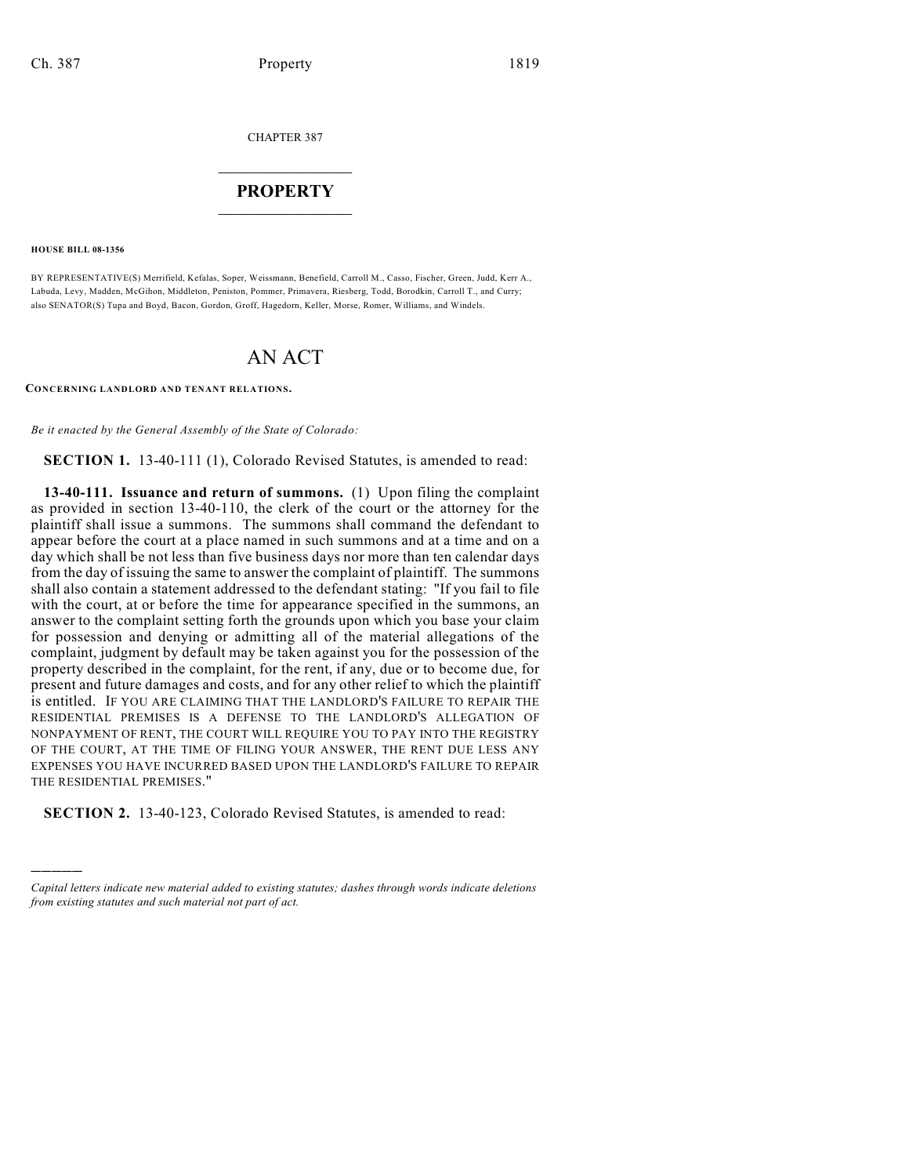CHAPTER 387

# $\overline{\phantom{a}}$  . The set of the set of the set of the set of the set of the set of the set of the set of the set of the set of the set of the set of the set of the set of the set of the set of the set of the set of the set o **PROPERTY**  $\_$   $\_$   $\_$   $\_$   $\_$   $\_$   $\_$   $\_$   $\_$

**HOUSE BILL 08-1356**

)))))

BY REPRESENTATIVE(S) Merrifield, Kefalas, Soper, Weissmann, Benefield, Carroll M., Casso, Fischer, Green, Judd, Kerr A., Labuda, Levy, Madden, McGihon, Middleton, Peniston, Pommer, Primavera, Riesberg, Todd, Borodkin, Carroll T., and Curry; also SENATOR(S) Tupa and Boyd, Bacon, Gordon, Groff, Hagedorn, Keller, Morse, Romer, Williams, and Windels.

# AN ACT

**CONCERNING LANDLORD AND TENANT RELATIONS.**

*Be it enacted by the General Assembly of the State of Colorado:*

**SECTION 1.** 13-40-111 (1), Colorado Revised Statutes, is amended to read:

**13-40-111. Issuance and return of summons.** (1) Upon filing the complaint as provided in section 13-40-110, the clerk of the court or the attorney for the plaintiff shall issue a summons. The summons shall command the defendant to appear before the court at a place named in such summons and at a time and on a day which shall be not less than five business days nor more than ten calendar days from the day of issuing the same to answer the complaint of plaintiff. The summons shall also contain a statement addressed to the defendant stating: "If you fail to file with the court, at or before the time for appearance specified in the summons, an answer to the complaint setting forth the grounds upon which you base your claim for possession and denying or admitting all of the material allegations of the complaint, judgment by default may be taken against you for the possession of the property described in the complaint, for the rent, if any, due or to become due, for present and future damages and costs, and for any other relief to which the plaintiff is entitled. IF YOU ARE CLAIMING THAT THE LANDLORD'S FAILURE TO REPAIR THE RESIDENTIAL PREMISES IS A DEFENSE TO THE LANDLORD'S ALLEGATION OF NONPAYMENT OF RENT, THE COURT WILL REQUIRE YOU TO PAY INTO THE REGISTRY OF THE COURT, AT THE TIME OF FILING YOUR ANSWER, THE RENT DUE LESS ANY EXPENSES YOU HAVE INCURRED BASED UPON THE LANDLORD'S FAILURE TO REPAIR THE RESIDENTIAL PREMISES."

**SECTION 2.** 13-40-123, Colorado Revised Statutes, is amended to read:

*Capital letters indicate new material added to existing statutes; dashes through words indicate deletions from existing statutes and such material not part of act.*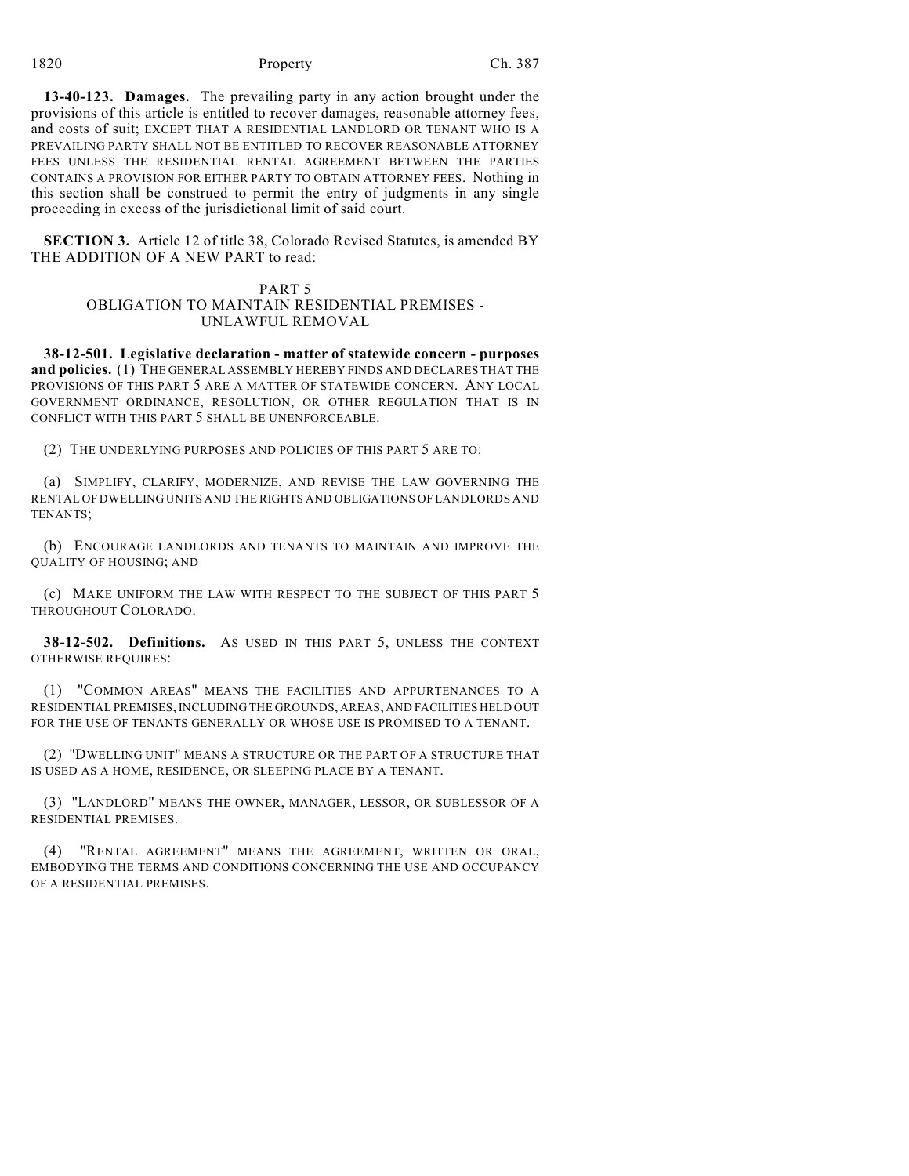### 1820 **Property** Ch. 387

**13-40-123. Damages.** The prevailing party in any action brought under the provisions of this article is entitled to recover damages, reasonable attorney fees, and costs of suit; EXCEPT THAT A RESIDENTIAL LANDLORD OR TENANT WHO IS A PREVAILING PARTY SHALL NOT BE ENTITLED TO RECOVER REASONABLE ATTORNEY FEES UNLESS THE RESIDENTIAL RENTAL AGREEMENT BETWEEN THE PARTIES CONTAINS A PROVISION FOR EITHER PARTY TO OBTAIN ATTORNEY FEES. Nothing in this section shall be construed to permit the entry of judgments in any single proceeding in excess of the jurisdictional limit of said court.

**SECTION 3.** Article 12 of title 38, Colorado Revised Statutes, is amended BY THE ADDITION OF A NEW PART to read:

## PART 5

## OBLIGATION TO MAINTAIN RESIDENTIAL PREMISES - UNLAWFUL REMOVAL

**38-12-501. Legislative declaration - matter of statewide concern - purposes and policies.** (1) THE GENERAL ASSEMBLY HEREBY FINDS AND DECLARES THAT THE PROVISIONS OF THIS PART 5 ARE A MATTER OF STATEWIDE CONCERN. ANY LOCAL GOVERNMENT ORDINANCE, RESOLUTION, OR OTHER REGULATION THAT IS IN CONFLICT WITH THIS PART 5 SHALL BE UNENFORCEABLE.

(2) THE UNDERLYING PURPOSES AND POLICIES OF THIS PART 5 ARE TO:

(a) SIMPLIFY, CLARIFY, MODERNIZE, AND REVISE THE LAW GOVERNING THE RENTAL OF DWELLING UNITS AND THE RIGHTS AND OBLIGATIONS OF LANDLORDS AND TENANTS;

(b) ENCOURAGE LANDLORDS AND TENANTS TO MAINTAIN AND IMPROVE THE QUALITY OF HOUSING; AND

(c) MAKE UNIFORM THE LAW WITH RESPECT TO THE SUBJECT OF THIS PART 5 THROUGHOUT COLORADO.

**38-12-502. Definitions.** AS USED IN THIS PART 5, UNLESS THE CONTEXT OTHERWISE REQUIRES:

(1) "COMMON AREAS" MEANS THE FACILITIES AND APPURTENANCES TO A RESIDENTIAL PREMISES, INCLUDING THE GROUNDS, AREAS, AND FACILITIES HELD OUT FOR THE USE OF TENANTS GENERALLY OR WHOSE USE IS PROMISED TO A TENANT.

(2) "DWELLING UNIT" MEANS A STRUCTURE OR THE PART OF A STRUCTURE THAT IS USED AS A HOME, RESIDENCE, OR SLEEPING PLACE BY A TENANT.

(3) "LANDLORD" MEANS THE OWNER, MANAGER, LESSOR, OR SUBLESSOR OF A RESIDENTIAL PREMISES.

(4) "RENTAL AGREEMENT" MEANS THE AGREEMENT, WRITTEN OR ORAL, EMBODYING THE TERMS AND CONDITIONS CONCERNING THE USE AND OCCUPANCY OF A RESIDENTIAL PREMISES.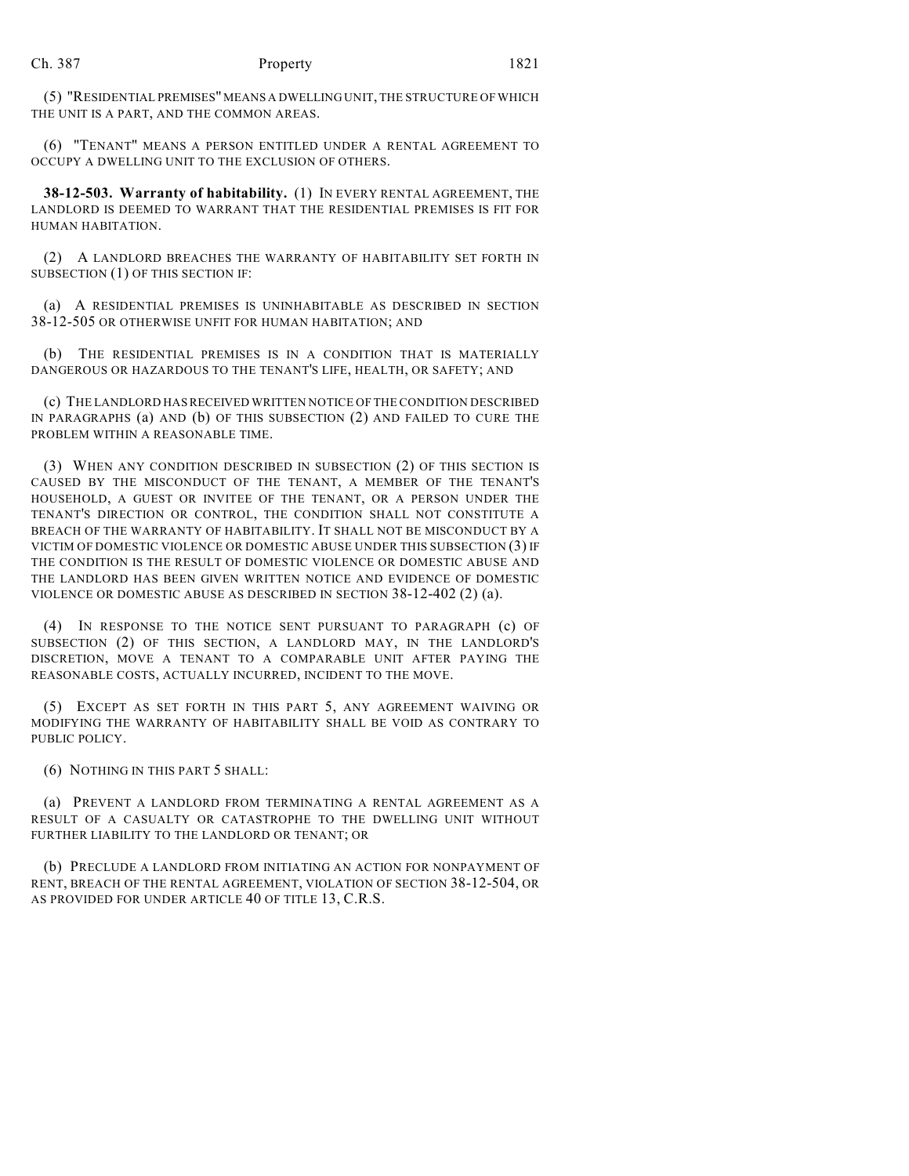(5) "RESIDENTIAL PREMISES" MEANS A DWELLING UNIT, THE STRUCTURE OF WHICH THE UNIT IS A PART, AND THE COMMON AREAS.

(6) "TENANT" MEANS A PERSON ENTITLED UNDER A RENTAL AGREEMENT TO OCCUPY A DWELLING UNIT TO THE EXCLUSION OF OTHERS.

**38-12-503. Warranty of habitability.** (1) IN EVERY RENTAL AGREEMENT, THE LANDLORD IS DEEMED TO WARRANT THAT THE RESIDENTIAL PREMISES IS FIT FOR HUMAN HABITATION.

(2) A LANDLORD BREACHES THE WARRANTY OF HABITABILITY SET FORTH IN SUBSECTION (1) OF THIS SECTION IF:

(a) A RESIDENTIAL PREMISES IS UNINHABITABLE AS DESCRIBED IN SECTION 38-12-505 OR OTHERWISE UNFIT FOR HUMAN HABITATION; AND

(b) THE RESIDENTIAL PREMISES IS IN A CONDITION THAT IS MATERIALLY DANGEROUS OR HAZARDOUS TO THE TENANT'S LIFE, HEALTH, OR SAFETY; AND

(c) THE LANDLORD HAS RECEIVED WRITTEN NOTICE OF THE CONDITION DESCRIBED IN PARAGRAPHS (a) AND (b) OF THIS SUBSECTION (2) AND FAILED TO CURE THE PROBLEM WITHIN A REASONABLE TIME.

(3) WHEN ANY CONDITION DESCRIBED IN SUBSECTION (2) OF THIS SECTION IS CAUSED BY THE MISCONDUCT OF THE TENANT, A MEMBER OF THE TENANT'S HOUSEHOLD, A GUEST OR INVITEE OF THE TENANT, OR A PERSON UNDER THE TENANT'S DIRECTION OR CONTROL, THE CONDITION SHALL NOT CONSTITUTE A BREACH OF THE WARRANTY OF HABITABILITY. IT SHALL NOT BE MISCONDUCT BY A VICTIM OF DOMESTIC VIOLENCE OR DOMESTIC ABUSE UNDER THIS SUBSECTION (3) IF THE CONDITION IS THE RESULT OF DOMESTIC VIOLENCE OR DOMESTIC ABUSE AND THE LANDLORD HAS BEEN GIVEN WRITTEN NOTICE AND EVIDENCE OF DOMESTIC VIOLENCE OR DOMESTIC ABUSE AS DESCRIBED IN SECTION 38-12-402 (2) (a).

(4) IN RESPONSE TO THE NOTICE SENT PURSUANT TO PARAGRAPH (c) OF SUBSECTION (2) OF THIS SECTION, A LANDLORD MAY, IN THE LANDLORD'S DISCRETION, MOVE A TENANT TO A COMPARABLE UNIT AFTER PAYING THE REASONABLE COSTS, ACTUALLY INCURRED, INCIDENT TO THE MOVE.

(5) EXCEPT AS SET FORTH IN THIS PART 5, ANY AGREEMENT WAIVING OR MODIFYING THE WARRANTY OF HABITABILITY SHALL BE VOID AS CONTRARY TO PUBLIC POLICY.

(6) NOTHING IN THIS PART 5 SHALL:

(a) PREVENT A LANDLORD FROM TERMINATING A RENTAL AGREEMENT AS A RESULT OF A CASUALTY OR CATASTROPHE TO THE DWELLING UNIT WITHOUT FURTHER LIABILITY TO THE LANDLORD OR TENANT; OR

(b) PRECLUDE A LANDLORD FROM INITIATING AN ACTION FOR NONPAYMENT OF RENT, BREACH OF THE RENTAL AGREEMENT, VIOLATION OF SECTION 38-12-504, OR AS PROVIDED FOR UNDER ARTICLE 40 OF TITLE 13, C.R.S.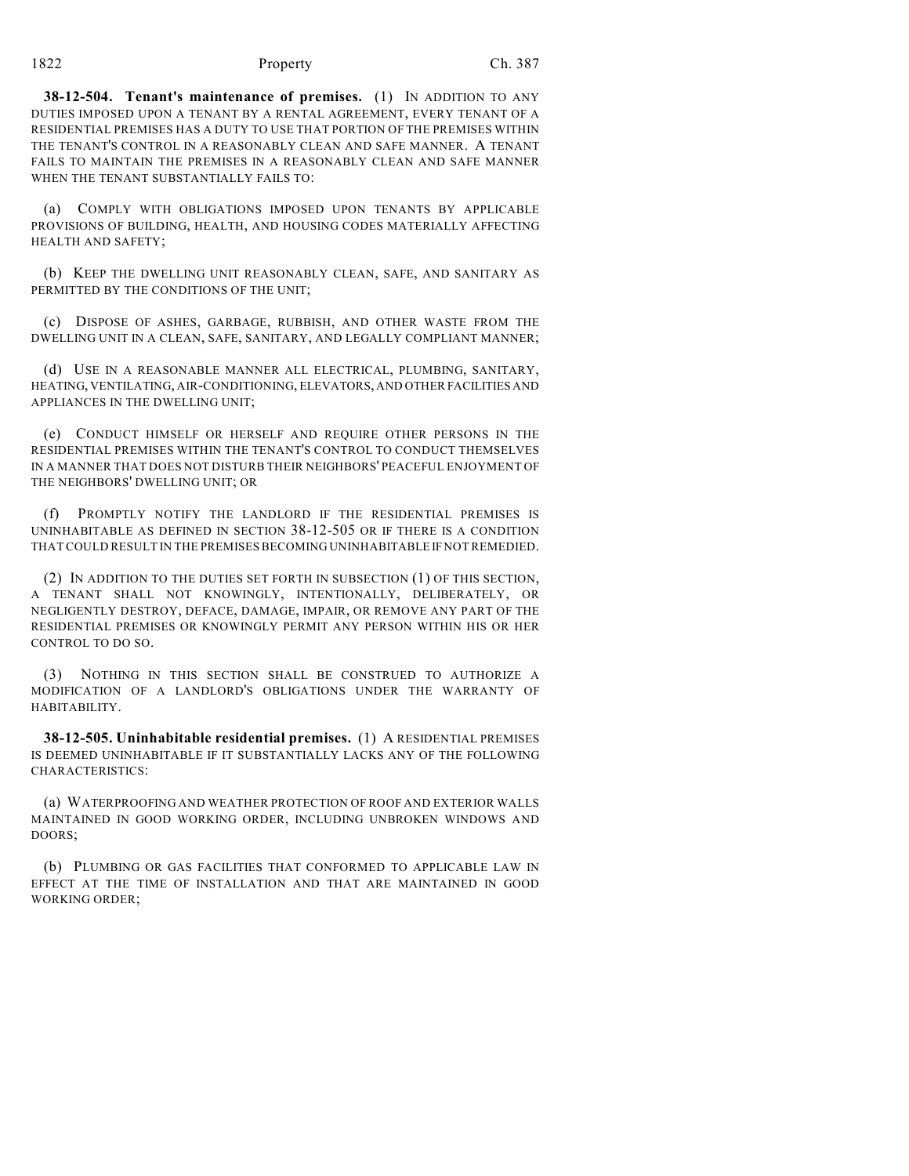**38-12-504. Tenant's maintenance of premises.** (1) IN ADDITION TO ANY DUTIES IMPOSED UPON A TENANT BY A RENTAL AGREEMENT, EVERY TENANT OF A RESIDENTIAL PREMISES HAS A DUTY TO USE THAT PORTION OF THE PREMISES WITHIN THE TENANT'S CONTROL IN A REASONABLY CLEAN AND SAFE MANNER. A TENANT FAILS TO MAINTAIN THE PREMISES IN A REASONABLY CLEAN AND SAFE MANNER WHEN THE TENANT SUBSTANTIALLY FAILS TO:

(a) COMPLY WITH OBLIGATIONS IMPOSED UPON TENANTS BY APPLICABLE PROVISIONS OF BUILDING, HEALTH, AND HOUSING CODES MATERIALLY AFFECTING HEALTH AND SAFETY;

(b) KEEP THE DWELLING UNIT REASONABLY CLEAN, SAFE, AND SANITARY AS PERMITTED BY THE CONDITIONS OF THE UNIT;

(c) DISPOSE OF ASHES, GARBAGE, RUBBISH, AND OTHER WASTE FROM THE DWELLING UNIT IN A CLEAN, SAFE, SANITARY, AND LEGALLY COMPLIANT MANNER;

(d) USE IN A REASONABLE MANNER ALL ELECTRICAL, PLUMBING, SANITARY, HEATING, VENTILATING, AIR-CONDITIONING, ELEVATORS, AND OTHER FACILITIES AND APPLIANCES IN THE DWELLING UNIT;

(e) CONDUCT HIMSELF OR HERSELF AND REQUIRE OTHER PERSONS IN THE RESIDENTIAL PREMISES WITHIN THE TENANT'S CONTROL TO CONDUCT THEMSELVES IN A MANNER THAT DOES NOT DISTURB THEIR NEIGHBORS' PEACEFUL ENJOYMENT OF THE NEIGHBORS' DWELLING UNIT; OR

(f) PROMPTLY NOTIFY THE LANDLORD IF THE RESIDENTIAL PREMISES IS UNINHABITABLE AS DEFINED IN SECTION 38-12-505 OR IF THERE IS A CONDITION THAT COULD RESULT IN THE PREMISES BECOMING UNINHABITABLE IF NOT REMEDIED.

(2) IN ADDITION TO THE DUTIES SET FORTH IN SUBSECTION (1) OF THIS SECTION, A TENANT SHALL NOT KNOWINGLY, INTENTIONALLY, DELIBERATELY, OR NEGLIGENTLY DESTROY, DEFACE, DAMAGE, IMPAIR, OR REMOVE ANY PART OF THE RESIDENTIAL PREMISES OR KNOWINGLY PERMIT ANY PERSON WITHIN HIS OR HER CONTROL TO DO SO.

(3) NOTHING IN THIS SECTION SHALL BE CONSTRUED TO AUTHORIZE A MODIFICATION OF A LANDLORD'S OBLIGATIONS UNDER THE WARRANTY OF HABITABILITY.

**38-12-505. Uninhabitable residential premises.** (1) A RESIDENTIAL PREMISES IS DEEMED UNINHABITABLE IF IT SUBSTANTIALLY LACKS ANY OF THE FOLLOWING CHARACTERISTICS:

(a) WATERPROOFING AND WEATHER PROTECTION OF ROOF AND EXTERIOR WALLS MAINTAINED IN GOOD WORKING ORDER, INCLUDING UNBROKEN WINDOWS AND DOORS;

(b) PLUMBING OR GAS FACILITIES THAT CONFORMED TO APPLICABLE LAW IN EFFECT AT THE TIME OF INSTALLATION AND THAT ARE MAINTAINED IN GOOD WORKING ORDER;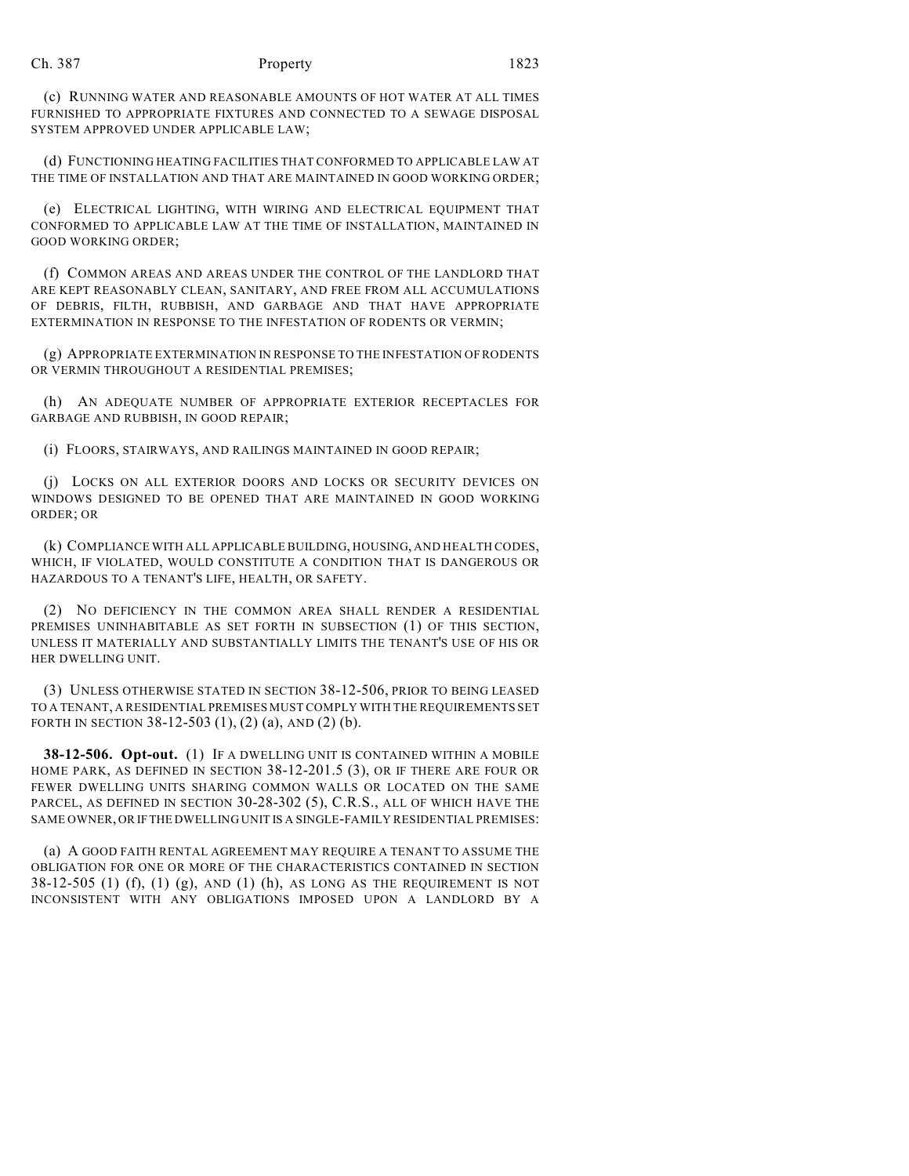### Ch. 387 Property 1823

(c) RUNNING WATER AND REASONABLE AMOUNTS OF HOT WATER AT ALL TIMES FURNISHED TO APPROPRIATE FIXTURES AND CONNECTED TO A SEWAGE DISPOSAL SYSTEM APPROVED UNDER APPLICABLE LAW;

(d) FUNCTIONING HEATING FACILITIES THAT CONFORMED TO APPLICABLE LAW AT THE TIME OF INSTALLATION AND THAT ARE MAINTAINED IN GOOD WORKING ORDER;

(e) ELECTRICAL LIGHTING, WITH WIRING AND ELECTRICAL EQUIPMENT THAT CONFORMED TO APPLICABLE LAW AT THE TIME OF INSTALLATION, MAINTAINED IN GOOD WORKING ORDER;

(f) COMMON AREAS AND AREAS UNDER THE CONTROL OF THE LANDLORD THAT ARE KEPT REASONABLY CLEAN, SANITARY, AND FREE FROM ALL ACCUMULATIONS OF DEBRIS, FILTH, RUBBISH, AND GARBAGE AND THAT HAVE APPROPRIATE EXTERMINATION IN RESPONSE TO THE INFESTATION OF RODENTS OR VERMIN;

(g) APPROPRIATE EXTERMINATION IN RESPONSE TO THE INFESTATION OF RODENTS OR VERMIN THROUGHOUT A RESIDENTIAL PREMISES;

(h) AN ADEQUATE NUMBER OF APPROPRIATE EXTERIOR RECEPTACLES FOR GARBAGE AND RUBBISH, IN GOOD REPAIR;

(i) FLOORS, STAIRWAYS, AND RAILINGS MAINTAINED IN GOOD REPAIR;

(j) LOCKS ON ALL EXTERIOR DOORS AND LOCKS OR SECURITY DEVICES ON WINDOWS DESIGNED TO BE OPENED THAT ARE MAINTAINED IN GOOD WORKING ORDER; OR

(k) COMPLIANCE WITH ALL APPLICABLE BUILDING, HOUSING, AND HEALTH CODES, WHICH, IF VIOLATED, WOULD CONSTITUTE A CONDITION THAT IS DANGEROUS OR HAZARDOUS TO A TENANT'S LIFE, HEALTH, OR SAFETY.

(2) NO DEFICIENCY IN THE COMMON AREA SHALL RENDER A RESIDENTIAL PREMISES UNINHABITABLE AS SET FORTH IN SUBSECTION (1) OF THIS SECTION, UNLESS IT MATERIALLY AND SUBSTANTIALLY LIMITS THE TENANT'S USE OF HIS OR HER DWELLING UNIT.

(3) UNLESS OTHERWISE STATED IN SECTION 38-12-506, PRIOR TO BEING LEASED TO A TENANT, A RESIDENTIAL PREMISES MUST COMPLY WITH THE REQUIREMENTS SET FORTH IN SECTION 38-12-503 (1), (2) (a), AND (2) (b).

**38-12-506. Opt-out.** (1) IF A DWELLING UNIT IS CONTAINED WITHIN A MOBILE HOME PARK, AS DEFINED IN SECTION 38-12-201.5 (3), OR IF THERE ARE FOUR OR FEWER DWELLING UNITS SHARING COMMON WALLS OR LOCATED ON THE SAME PARCEL, AS DEFINED IN SECTION 30-28-302 (5), C.R.S., ALL OF WHICH HAVE THE SAME OWNER, OR IF THE DWELLING UNIT IS A SINGLE-FAMILY RESIDENTIAL PREMISES:

(a) A GOOD FAITH RENTAL AGREEMENT MAY REQUIRE A TENANT TO ASSUME THE OBLIGATION FOR ONE OR MORE OF THE CHARACTERISTICS CONTAINED IN SECTION 38-12-505 (1) (f), (1) (g), AND (1) (h), AS LONG AS THE REQUIREMENT IS NOT INCONSISTENT WITH ANY OBLIGATIONS IMPOSED UPON A LANDLORD BY A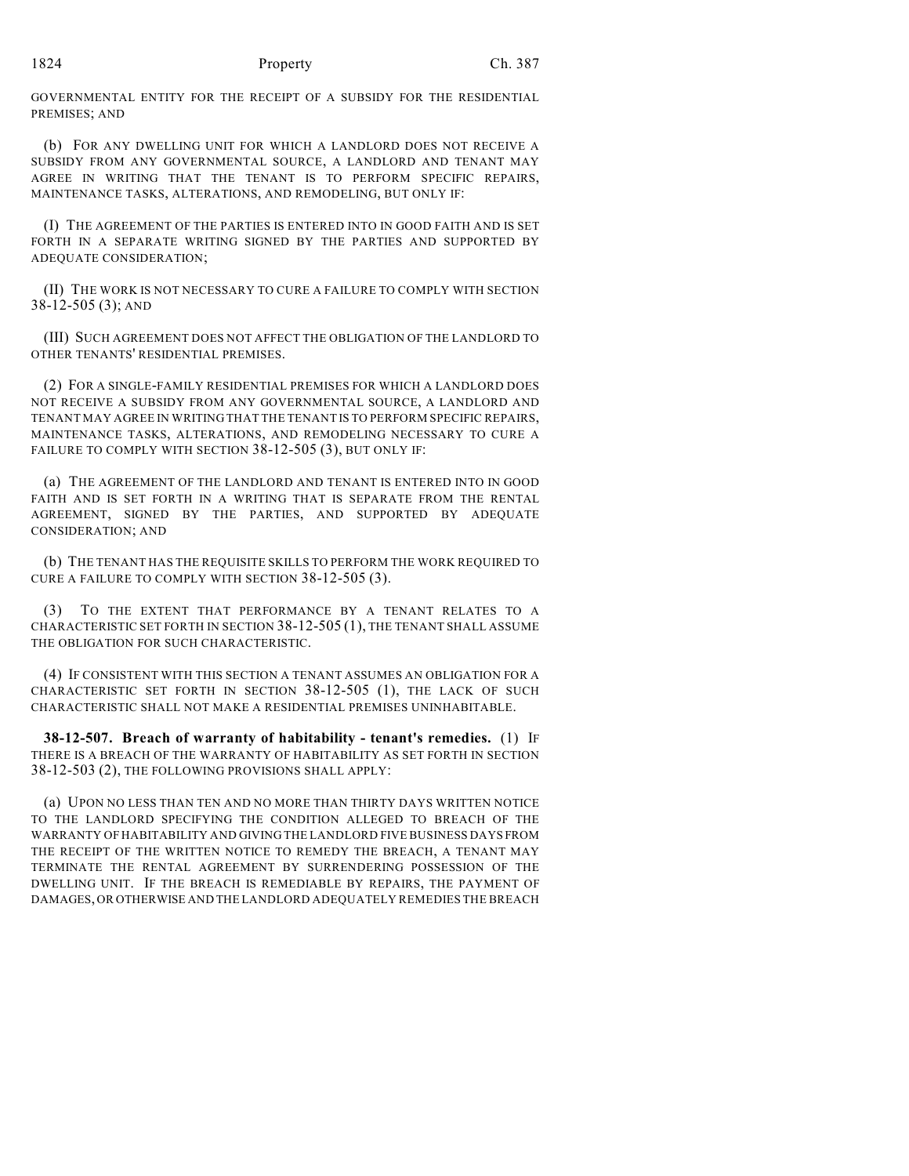GOVERNMENTAL ENTITY FOR THE RECEIPT OF A SUBSIDY FOR THE RESIDENTIAL PREMISES; AND

(b) FOR ANY DWELLING UNIT FOR WHICH A LANDLORD DOES NOT RECEIVE A SUBSIDY FROM ANY GOVERNMENTAL SOURCE, A LANDLORD AND TENANT MAY AGREE IN WRITING THAT THE TENANT IS TO PERFORM SPECIFIC REPAIRS, MAINTENANCE TASKS, ALTERATIONS, AND REMODELING, BUT ONLY IF:

(I) THE AGREEMENT OF THE PARTIES IS ENTERED INTO IN GOOD FAITH AND IS SET FORTH IN A SEPARATE WRITING SIGNED BY THE PARTIES AND SUPPORTED BY ADEQUATE CONSIDERATION;

(II) THE WORK IS NOT NECESSARY TO CURE A FAILURE TO COMPLY WITH SECTION 38-12-505 (3); AND

(III) SUCH AGREEMENT DOES NOT AFFECT THE OBLIGATION OF THE LANDLORD TO OTHER TENANTS' RESIDENTIAL PREMISES.

(2) FOR A SINGLE-FAMILY RESIDENTIAL PREMISES FOR WHICH A LANDLORD DOES NOT RECEIVE A SUBSIDY FROM ANY GOVERNMENTAL SOURCE, A LANDLORD AND TENANT MAY AGREE IN WRITING THAT THE TENANT IS TO PERFORM SPECIFIC REPAIRS, MAINTENANCE TASKS, ALTERATIONS, AND REMODELING NECESSARY TO CURE A FAILURE TO COMPLY WITH SECTION 38-12-505 (3), BUT ONLY IF:

(a) THE AGREEMENT OF THE LANDLORD AND TENANT IS ENTERED INTO IN GOOD FAITH AND IS SET FORTH IN A WRITING THAT IS SEPARATE FROM THE RENTAL AGREEMENT, SIGNED BY THE PARTIES, AND SUPPORTED BY ADEQUATE CONSIDERATION; AND

(b) THE TENANT HAS THE REQUISITE SKILLS TO PERFORM THE WORK REQUIRED TO CURE A FAILURE TO COMPLY WITH SECTION 38-12-505 (3).

(3) TO THE EXTENT THAT PERFORMANCE BY A TENANT RELATES TO A CHARACTERISTIC SET FORTH IN SECTION 38-12-505 (1), THE TENANT SHALL ASSUME THE OBLIGATION FOR SUCH CHARACTERISTIC.

(4) IF CONSISTENT WITH THIS SECTION A TENANT ASSUMES AN OBLIGATION FOR A CHARACTERISTIC SET FORTH IN SECTION 38-12-505 (1), THE LACK OF SUCH CHARACTERISTIC SHALL NOT MAKE A RESIDENTIAL PREMISES UNINHABITABLE.

**38-12-507. Breach of warranty of habitability - tenant's remedies.** (1) IF THERE IS A BREACH OF THE WARRANTY OF HABITABILITY AS SET FORTH IN SECTION 38-12-503 (2), THE FOLLOWING PROVISIONS SHALL APPLY:

(a) UPON NO LESS THAN TEN AND NO MORE THAN THIRTY DAYS WRITTEN NOTICE TO THE LANDLORD SPECIFYING THE CONDITION ALLEGED TO BREACH OF THE WARRANTY OF HABITABILITY AND GIVING THE LANDLORD FIVE BUSINESS DAYS FROM THE RECEIPT OF THE WRITTEN NOTICE TO REMEDY THE BREACH, A TENANT MAY TERMINATE THE RENTAL AGREEMENT BY SURRENDERING POSSESSION OF THE DWELLING UNIT. IF THE BREACH IS REMEDIABLE BY REPAIRS, THE PAYMENT OF DAMAGES, OR OTHERWISE AND THE LANDLORD ADEQUATELY REMEDIES THE BREACH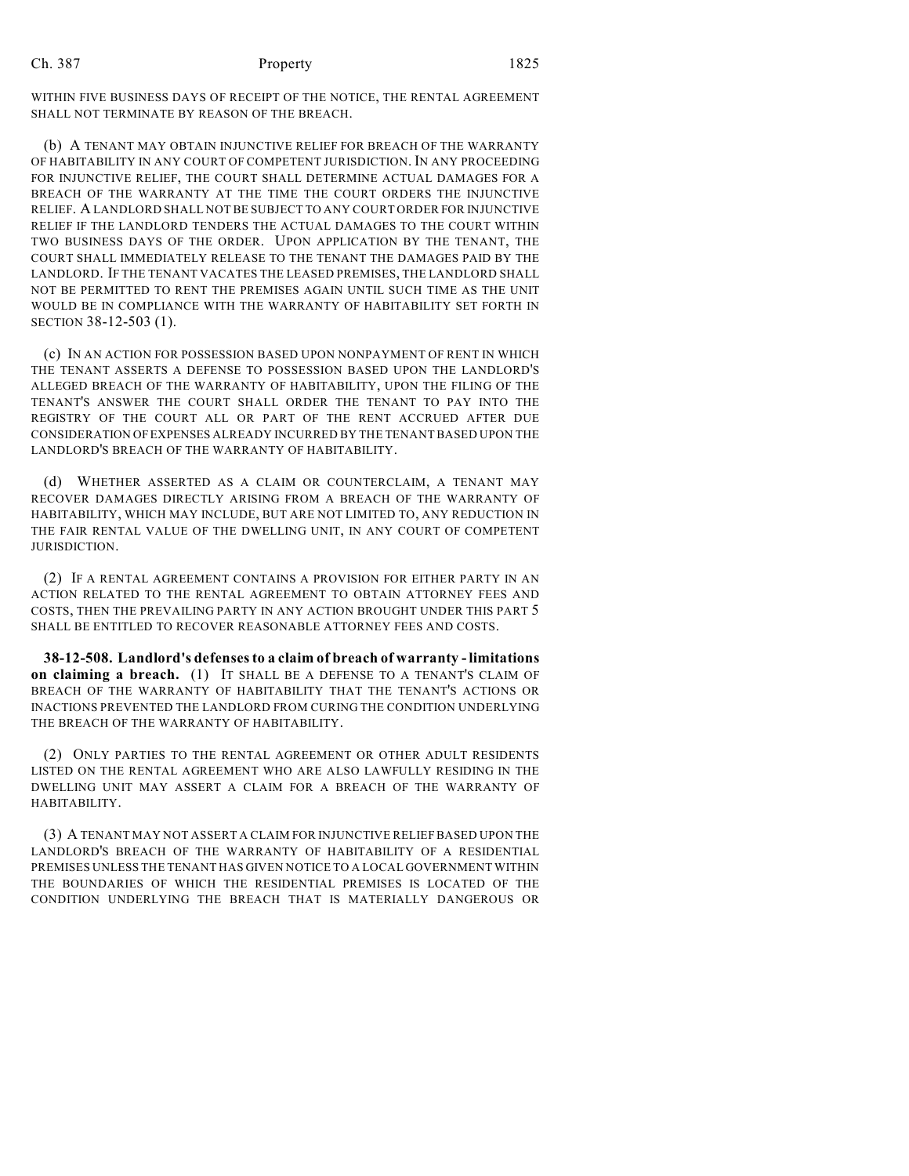### Ch. 387 Property 1825

WITHIN FIVE BUSINESS DAYS OF RECEIPT OF THE NOTICE, THE RENTAL AGREEMENT SHALL NOT TERMINATE BY REASON OF THE BREACH.

(b) A TENANT MAY OBTAIN INJUNCTIVE RELIEF FOR BREACH OF THE WARRANTY OF HABITABILITY IN ANY COURT OF COMPETENT JURISDICTION. IN ANY PROCEEDING FOR INJUNCTIVE RELIEF, THE COURT SHALL DETERMINE ACTUAL DAMAGES FOR A BREACH OF THE WARRANTY AT THE TIME THE COURT ORDERS THE INJUNCTIVE RELIEF. A LANDLORD SHALL NOT BE SUBJECT TO ANY COURT ORDER FOR INJUNCTIVE RELIEF IF THE LANDLORD TENDERS THE ACTUAL DAMAGES TO THE COURT WITHIN TWO BUSINESS DAYS OF THE ORDER. UPON APPLICATION BY THE TENANT, THE COURT SHALL IMMEDIATELY RELEASE TO THE TENANT THE DAMAGES PAID BY THE LANDLORD. IF THE TENANT VACATES THE LEASED PREMISES, THE LANDLORD SHALL NOT BE PERMITTED TO RENT THE PREMISES AGAIN UNTIL SUCH TIME AS THE UNIT WOULD BE IN COMPLIANCE WITH THE WARRANTY OF HABITABILITY SET FORTH IN SECTION 38-12-503 (1).

(c) IN AN ACTION FOR POSSESSION BASED UPON NONPAYMENT OF RENT IN WHICH THE TENANT ASSERTS A DEFENSE TO POSSESSION BASED UPON THE LANDLORD'S ALLEGED BREACH OF THE WARRANTY OF HABITABILITY, UPON THE FILING OF THE TENANT'S ANSWER THE COURT SHALL ORDER THE TENANT TO PAY INTO THE REGISTRY OF THE COURT ALL OR PART OF THE RENT ACCRUED AFTER DUE CONSIDERATION OF EXPENSES ALREADY INCURRED BY THE TENANT BASED UPON THE LANDLORD'S BREACH OF THE WARRANTY OF HABITABILITY.

(d) WHETHER ASSERTED AS A CLAIM OR COUNTERCLAIM, A TENANT MAY RECOVER DAMAGES DIRECTLY ARISING FROM A BREACH OF THE WARRANTY OF HABITABILITY, WHICH MAY INCLUDE, BUT ARE NOT LIMITED TO, ANY REDUCTION IN THE FAIR RENTAL VALUE OF THE DWELLING UNIT, IN ANY COURT OF COMPETENT JURISDICTION.

(2) IF A RENTAL AGREEMENT CONTAINS A PROVISION FOR EITHER PARTY IN AN ACTION RELATED TO THE RENTAL AGREEMENT TO OBTAIN ATTORNEY FEES AND COSTS, THEN THE PREVAILING PARTY IN ANY ACTION BROUGHT UNDER THIS PART 5 SHALL BE ENTITLED TO RECOVER REASONABLE ATTORNEY FEES AND COSTS.

**38-12-508. Landlord's defenses to a claim of breach of warranty - limitations on claiming a breach.** (1) IT SHALL BE A DEFENSE TO A TENANT'S CLAIM OF BREACH OF THE WARRANTY OF HABITABILITY THAT THE TENANT'S ACTIONS OR INACTIONS PREVENTED THE LANDLORD FROM CURING THE CONDITION UNDERLYING THE BREACH OF THE WARRANTY OF HABITABILITY.

(2) ONLY PARTIES TO THE RENTAL AGREEMENT OR OTHER ADULT RESIDENTS LISTED ON THE RENTAL AGREEMENT WHO ARE ALSO LAWFULLY RESIDING IN THE DWELLING UNIT MAY ASSERT A CLAIM FOR A BREACH OF THE WARRANTY OF HABITABILITY.

(3) A TENANT MAY NOT ASSERT A CLAIM FOR INJUNCTIVE RELIEFBASED UPON THE LANDLORD'S BREACH OF THE WARRANTY OF HABITABILITY OF A RESIDENTIAL PREMISES UNLESS THE TENANT HAS GIVEN NOTICE TO A LOCAL GOVERNMENT WITHIN THE BOUNDARIES OF WHICH THE RESIDENTIAL PREMISES IS LOCATED OF THE CONDITION UNDERLYING THE BREACH THAT IS MATERIALLY DANGEROUS OR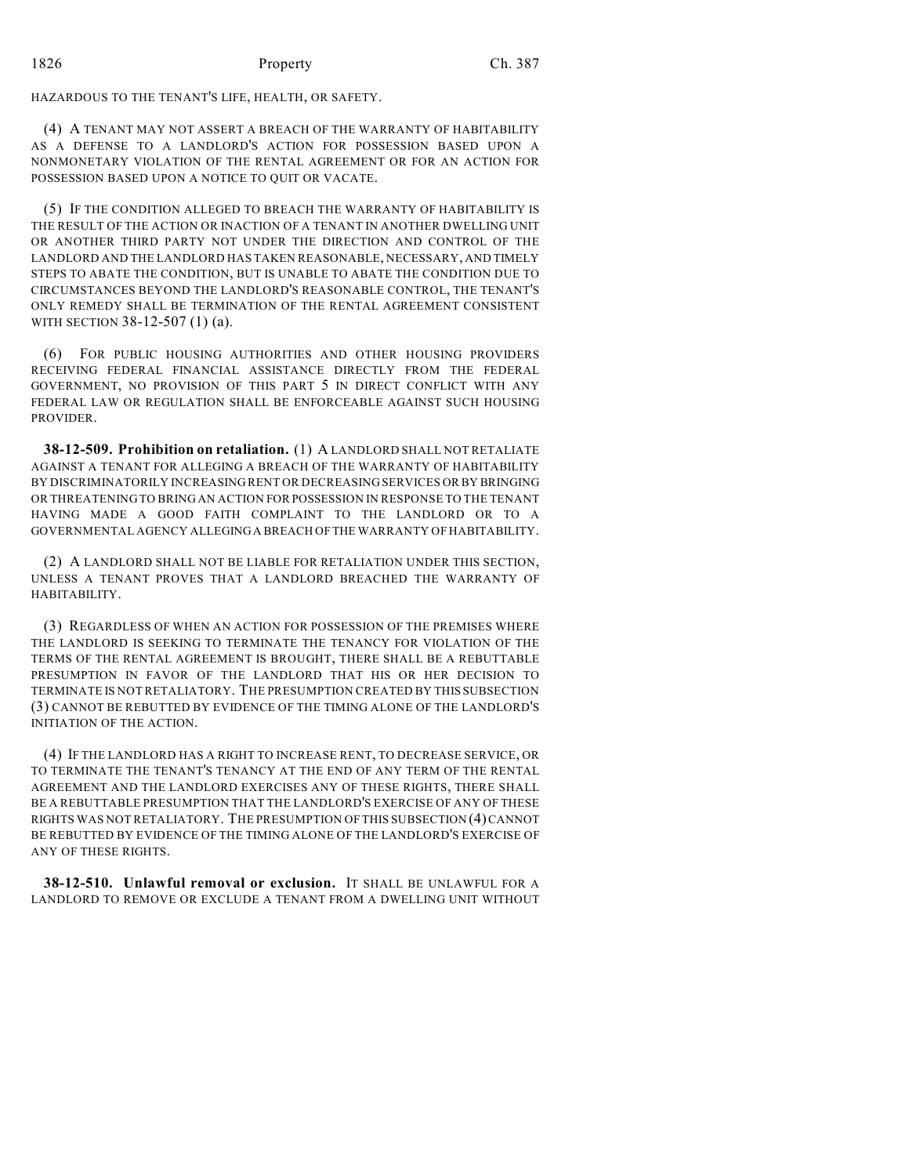HAZARDOUS TO THE TENANT'S LIFE, HEALTH, OR SAFETY.

(4) A TENANT MAY NOT ASSERT A BREACH OF THE WARRANTY OF HABITABILITY AS A DEFENSE TO A LANDLORD'S ACTION FOR POSSESSION BASED UPON A NONMONETARY VIOLATION OF THE RENTAL AGREEMENT OR FOR AN ACTION FOR POSSESSION BASED UPON A NOTICE TO QUIT OR VACATE.

(5) IF THE CONDITION ALLEGED TO BREACH THE WARRANTY OF HABITABILITY IS THE RESULT OF THE ACTION OR INACTION OF A TENANT IN ANOTHER DWELLING UNIT OR ANOTHER THIRD PARTY NOT UNDER THE DIRECTION AND CONTROL OF THE LANDLORD AND THE LANDLORD HAS TAKEN REASONABLE, NECESSARY, AND TIMELY STEPS TO ABATE THE CONDITION, BUT IS UNABLE TO ABATE THE CONDITION DUE TO CIRCUMSTANCES BEYOND THE LANDLORD'S REASONABLE CONTROL, THE TENANT'S ONLY REMEDY SHALL BE TERMINATION OF THE RENTAL AGREEMENT CONSISTENT WITH SECTION 38-12-507 (1) (a).

(6) FOR PUBLIC HOUSING AUTHORITIES AND OTHER HOUSING PROVIDERS RECEIVING FEDERAL FINANCIAL ASSISTANCE DIRECTLY FROM THE FEDERAL GOVERNMENT, NO PROVISION OF THIS PART 5 IN DIRECT CONFLICT WITH ANY FEDERAL LAW OR REGULATION SHALL BE ENFORCEABLE AGAINST SUCH HOUSING PROVIDER.

**38-12-509. Prohibition on retaliation.** (1) A LANDLORD SHALL NOT RETALIATE AGAINST A TENANT FOR ALLEGING A BREACH OF THE WARRANTY OF HABITABILITY BY DISCRIMINATORILY INCREASING RENT OR DECREASING SERVICES OR BY BRINGING OR THREATENING TO BRING AN ACTION FOR POSSESSION IN RESPONSE TO THE TENANT HAVING MADE A GOOD FAITH COMPLAINT TO THE LANDLORD OR TO A GOVERNMENTAL AGENCY ALLEGING A BREACH OF THE WARRANTY OF HABITABILITY.

(2) A LANDLORD SHALL NOT BE LIABLE FOR RETALIATION UNDER THIS SECTION, UNLESS A TENANT PROVES THAT A LANDLORD BREACHED THE WARRANTY OF HABITABILITY.

(3) REGARDLESS OF WHEN AN ACTION FOR POSSESSION OF THE PREMISES WHERE THE LANDLORD IS SEEKING TO TERMINATE THE TENANCY FOR VIOLATION OF THE TERMS OF THE RENTAL AGREEMENT IS BROUGHT, THERE SHALL BE A REBUTTABLE PRESUMPTION IN FAVOR OF THE LANDLORD THAT HIS OR HER DECISION TO TERMINATE IS NOT RETALIATORY. THE PRESUMPTION CREATED BY THIS SUBSECTION (3) CANNOT BE REBUTTED BY EVIDENCE OF THE TIMING ALONE OF THE LANDLORD'S INITIATION OF THE ACTION.

(4) IF THE LANDLORD HAS A RIGHT TO INCREASE RENT, TO DECREASE SERVICE, OR TO TERMINATE THE TENANT'S TENANCY AT THE END OF ANY TERM OF THE RENTAL AGREEMENT AND THE LANDLORD EXERCISES ANY OF THESE RIGHTS, THERE SHALL BE A REBUTTABLE PRESUMPTION THAT THE LANDLORD'S EXERCISE OF ANY OF THESE RIGHTS WAS NOT RETALIATORY. THE PRESUMPTION OF THIS SUBSECTION (4) CANNOT BE REBUTTED BY EVIDENCE OF THE TIMING ALONE OF THE LANDLORD'S EXERCISE OF ANY OF THESE RIGHTS.

**38-12-510. Unlawful removal or exclusion.** IT SHALL BE UNLAWFUL FOR A LANDLORD TO REMOVE OR EXCLUDE A TENANT FROM A DWELLING UNIT WITHOUT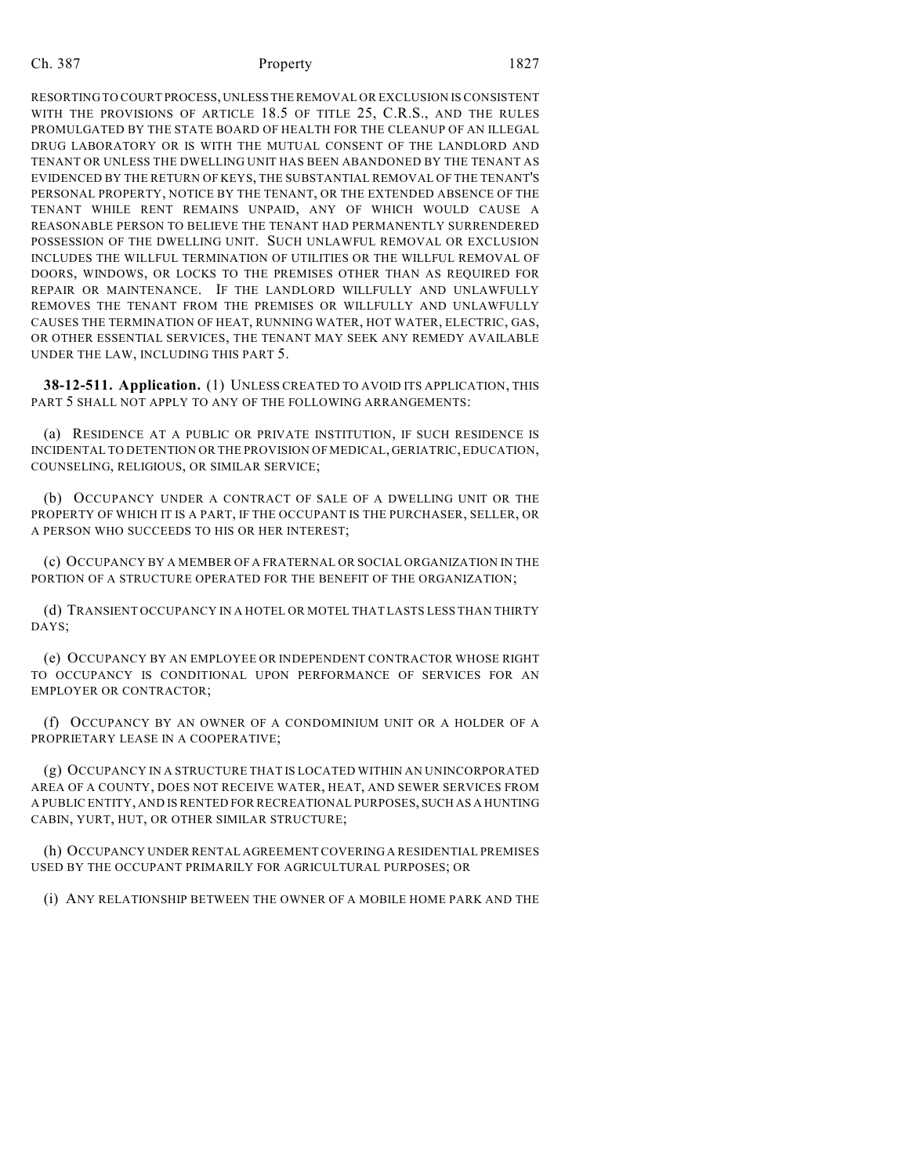### Ch. 387 Property 1827

RESORTING TO COURT PROCESS, UNLESS THE REMOVAL OR EXCLUSION IS CONSISTENT WITH THE PROVISIONS OF ARTICLE 18.5 OF TITLE 25, C.R.S., AND THE RULES PROMULGATED BY THE STATE BOARD OF HEALTH FOR THE CLEANUP OF AN ILLEGAL DRUG LABORATORY OR IS WITH THE MUTUAL CONSENT OF THE LANDLORD AND TENANT OR UNLESS THE DWELLING UNIT HAS BEEN ABANDONED BY THE TENANT AS EVIDENCED BY THE RETURN OF KEYS, THE SUBSTANTIAL REMOVAL OF THE TENANT'S PERSONAL PROPERTY, NOTICE BY THE TENANT, OR THE EXTENDED ABSENCE OF THE TENANT WHILE RENT REMAINS UNPAID, ANY OF WHICH WOULD CAUSE A REASONABLE PERSON TO BELIEVE THE TENANT HAD PERMANENTLY SURRENDERED POSSESSION OF THE DWELLING UNIT. SUCH UNLAWFUL REMOVAL OR EXCLUSION INCLUDES THE WILLFUL TERMINATION OF UTILITIES OR THE WILLFUL REMOVAL OF DOORS, WINDOWS, OR LOCKS TO THE PREMISES OTHER THAN AS REQUIRED FOR REPAIR OR MAINTENANCE. IF THE LANDLORD WILLFULLY AND UNLAWFULLY REMOVES THE TENANT FROM THE PREMISES OR WILLFULLY AND UNLAWFULLY CAUSES THE TERMINATION OF HEAT, RUNNING WATER, HOT WATER, ELECTRIC, GAS, OR OTHER ESSENTIAL SERVICES, THE TENANT MAY SEEK ANY REMEDY AVAILABLE UNDER THE LAW, INCLUDING THIS PART 5.

**38-12-511. Application.** (1) UNLESS CREATED TO AVOID ITS APPLICATION, THIS PART 5 SHALL NOT APPLY TO ANY OF THE FOLLOWING ARRANGEMENTS:

(a) RESIDENCE AT A PUBLIC OR PRIVATE INSTITUTION, IF SUCH RESIDENCE IS INCIDENTAL TO DETENTION OR THE PROVISION OF MEDICAL, GERIATRIC, EDUCATION, COUNSELING, RELIGIOUS, OR SIMILAR SERVICE;

(b) OCCUPANCY UNDER A CONTRACT OF SALE OF A DWELLING UNIT OR THE PROPERTY OF WHICH IT IS A PART, IF THE OCCUPANT IS THE PURCHASER, SELLER, OR A PERSON WHO SUCCEEDS TO HIS OR HER INTEREST;

(c) OCCUPANCY BY A MEMBER OF A FRATERNAL OR SOCIAL ORGANIZATION IN THE PORTION OF A STRUCTURE OPERATED FOR THE BENEFIT OF THE ORGANIZATION;

(d) TRANSIENT OCCUPANCY IN A HOTEL OR MOTEL THAT LASTS LESS THAN THIRTY DAYS;

(e) OCCUPANCY BY AN EMPLOYEE OR INDEPENDENT CONTRACTOR WHOSE RIGHT TO OCCUPANCY IS CONDITIONAL UPON PERFORMANCE OF SERVICES FOR AN EMPLOYER OR CONTRACTOR;

(f) OCCUPANCY BY AN OWNER OF A CONDOMINIUM UNIT OR A HOLDER OF A PROPRIETARY LEASE IN A COOPERATIVE;

(g) OCCUPANCY IN A STRUCTURE THAT IS LOCATED WITHIN AN UNINCORPORATED AREA OF A COUNTY, DOES NOT RECEIVE WATER, HEAT, AND SEWER SERVICES FROM A PUBLIC ENTITY, AND IS RENTED FOR RECREATIONAL PURPOSES, SUCH AS A HUNTING CABIN, YURT, HUT, OR OTHER SIMILAR STRUCTURE;

(h) OCCUPANCY UNDER RENTAL AGREEMENT COVERING A RESIDENTIAL PREMISES USED BY THE OCCUPANT PRIMARILY FOR AGRICULTURAL PURPOSES; OR

(i) ANY RELATIONSHIP BETWEEN THE OWNER OF A MOBILE HOME PARK AND THE